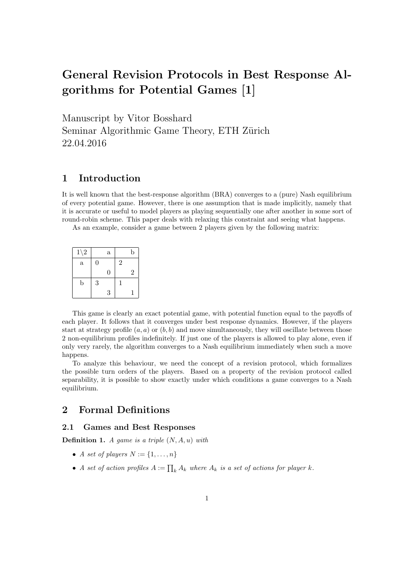# General Revision Protocols in Best Response Algorithms for Potential Games [1]

Manuscript by Vitor Bosshard Seminar Algorithmic Game Theory, ETH Zürich 22.04.2016

# 1 Introduction

It is well known that the best-response algorithm (BRA) converges to a (pure) Nash equilibrium of every potential game. However, there is one assumption that is made implicitly, namely that it is accurate or useful to model players as playing sequentially one after another in some sort of round-robin scheme. This paper deals with relaxing this constraint and seeing what happens.

As an example, consider a game between 2 players given by the following matrix:

| $1\backslash 2$ |                  | $\mathbf{a}$ |                | b              |
|-----------------|------------------|--------------|----------------|----------------|
| $\mathbf{a}$    | $\boldsymbol{0}$ |              | $\overline{2}$ |                |
|                 |                  | 0            |                | $\overline{2}$ |
| b               | 3                |              |                |                |
|                 |                  | 3            |                |                |

This game is clearly an exact potential game, with potential function equal to the payoffs of each player. It follows that it converges under best response dynamics. However, if the players start at strategy profile  $(a, a)$  or  $(b, b)$  and move simultaneously, they will oscillate between those 2 non-equilibrium profiles indefinitely. If just one of the players is allowed to play alone, even if only very rarely, the algorithm converges to a Nash equilibrium immediately when such a move happens.

To analyze this behaviour, we need the concept of a revision protocol, which formalizes the possible turn orders of the players. Based on a property of the revision protocol called separability, it is possible to show exactly under which conditions a game converges to a Nash equilibrium.

# 2 Formal Definitions

## 2.1 Games and Best Responses

**Definition 1.** A game is a triple  $(N, A, u)$  with

- A set of players  $N := \{1, \ldots, n\}$
- A set of action profiles  $A := \prod_k A_k$  where  $A_k$  is a set of actions for player k.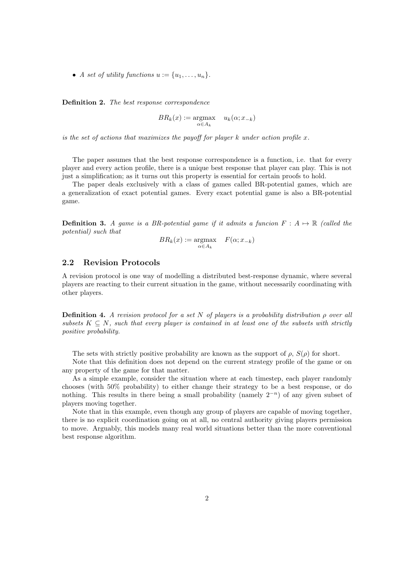• A set of utility functions  $u := \{u_1, \ldots, u_n\}.$ 

Definition 2. The best response correspondence

$$
BR_k(x) := \underset{\alpha \in A_k}{\operatorname{argmax}} \quad u_k(\alpha; x_{-k})
$$

is the set of actions that maximizes the payoff for player  $k$  under action profile x.

The paper assumes that the best response correspondence is a function, i.e. that for every player and every action profile, there is a unique best response that player can play. This is not just a simplification; as it turns out this property is essential for certain proofs to hold.

The paper deals exclusively with a class of games called BR-potential games, which are a generalization of exact potential games. Every exact potential game is also a BR-potential game.

**Definition 3.** A game is a BR-potential game if it admits a funcion  $F : A \mapsto \mathbb{R}$  (called the potential) such that

$$
BR_k(x) := \underset{\alpha \in A_k}{\operatorname{argmax}} \quad F(\alpha; x_{-k})
$$

## 2.2 Revision Protocols

A revision protocol is one way of modelling a distributed best-response dynamic, where several players are reacting to their current situation in the game, without necessarily coordinating with other players.

**Definition 4.** A revision protocol for a set N of players is a probability distribution  $\rho$  over all subsets  $K \subseteq N$ , such that every player is contained in at least one of the subsets with strictly positive probability.

The sets with strictly positive probability are known as the support of  $\rho$ ,  $S(\rho)$  for short.

Note that this definition does not depend on the current strategy profile of the game or on any property of the game for that matter.

As a simple example, consider the situation where at each timestep, each player randomly chooses (with 50% probability) to either change their strategy to be a best response, or do nothing. This results in there being a small probability (namely  $2^{-n}$ ) of any given subset of players moving together.

Note that in this example, even though any group of players are capable of moving together, there is no explicit coordination going on at all, no central authority giving players permission to move. Arguably, this models many real world situations better than the more conventional best response algorithm.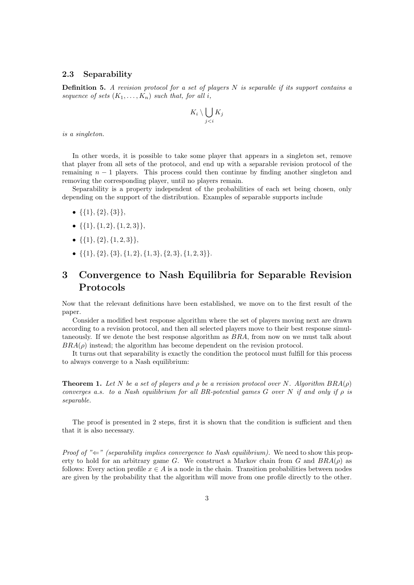## 2.3 Separability

**Definition 5.** A revision protocol for a set of players  $N$  is separable if its support contains a sequence of sets  $(K_1, \ldots, K_n)$  such that, for all i,

$$
K_i \setminus \bigcup_{j
$$

is a singleton.

In other words, it is possible to take some player that appears in a singleton set, remove that player from all sets of the protocol, and end up with a separable revision protocol of the remaining  $n - 1$  players. This process could then continue by finding another singleton and removing the corresponding player, until no players remain.

Separability is a property independent of the probabilities of each set being chosen, only depending on the support of the distribution. Examples of separable supports include

- $\{\{1\},\{2\},\{3\}\},\$
- $\{\{1\},\{1,2\},\{1,2,3\}\},\$
- $\{\{1\},\{2\},\{1,2,3\}\},\$
- $\{\{1\}, \{2\}, \{3\}, \{1, 2\}, \{1, 3\}, \{2, 3\}, \{1, 2, 3\}\}.$

# 3 Convergence to Nash Equilibria for Separable Revision Protocols

Now that the relevant definitions have been established, we move on to the first result of the paper.

Consider a modified best response algorithm where the set of players moving next are drawn according to a revision protocol, and then all selected players move to their best response simultaneously. If we denote the best response algorithm as BRA, from now on we must talk about  $BRA(\rho)$  instead; the algorithm has become dependent on the revision protocol.

It turns out that separability is exactly the condition the protocol must fulfill for this process to always converge to a Nash equilibrium:

**Theorem 1.** Let N be a set of players and  $\rho$  be a revision protocol over N. Algorithm  $BRA(\rho)$ converges a.s. to a Nash equilibrium for all BR-potential games  $G$  over N if and only if  $\rho$  is separable.

The proof is presented in 2 steps, first it is shown that the condition is sufficient and then that it is also necessary.

*Proof of* " $\leftharpoons$ " (separability implies convergence to Nash equilibrium). We need to show this property to hold for an arbitrary game G. We construct a Markov chain from G and  $BRA(\rho)$  as follows: Every action profile  $x \in A$  is a node in the chain. Transition probabilities between nodes are given by the probability that the algorithm will move from one profile directly to the other.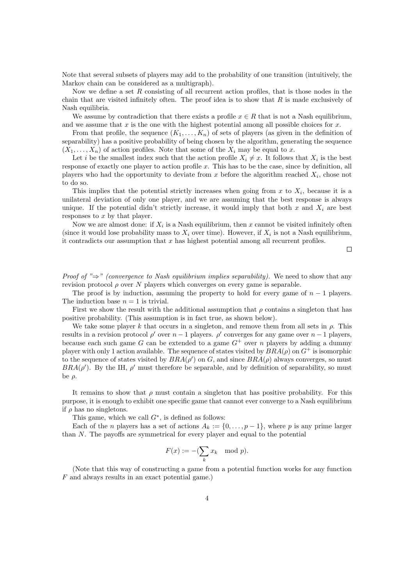Note that several subsets of players may add to the probability of one transition (intuitively, the Markov chain can be considered as a multigraph).

Now we define a set  $R$  consisting of all recurrent action profiles, that is those nodes in the chain that are visited infinitely often. The proof idea is to show that  $R$  is made exclusively of Nash equilibria.

We assume by contradiction that there exists a profile  $x \in R$  that is not a Nash equilibrium, and we assume that  $x$  is the one with the highest potential among all possible choices for  $x$ .

From that profile, the sequence  $(K_1, \ldots, K_n)$  of sets of players (as given in the definition of separability) has a positive probability of being chosen by the algorithm, generating the sequence  $(X_1, \ldots, X_n)$  of action profiles. Note that some of the  $X_i$  may be equal to x.

Let *i* be the smallest index such that the action profile  $X_i \neq x$ . It follows that  $X_i$  is the best response of exactly one player to action profile  $x$ . This has to be the case, since by definition, all players who had the opportunity to deviate from  $x$  before the algorithm reached  $X_i$ , chose not to do so.

This implies that the potential strictly increases when going from x to  $X_i$ , because it is a unilateral deviation of only one player, and we are assuming that the best response is always unique. If the potential didn't strictly increase, it would imply that both x and  $X_i$  are best responses to  $x$  by that player.

Now we are almost done: if  $X_i$  is a Nash equilibrium, then x cannot be visited infinitely often (since it would lose probability mass to  $X_i$  over time). However, if  $X_i$  is not a Nash equilibrium, it contradicts our assumption that  $x$  has highest potential among all recurrent profiles.

 $\Box$ 

*Proof of* " $\Rightarrow$ " (convergence to Nash equilibrium implies separability). We need to show that any revision protocol  $\rho$  over N players which converges on every game is separable.

The proof is by induction, assuming the property to hold for every game of  $n-1$  players. The induction base  $n = 1$  is trivial.

First we show the result with the additional assumption that  $\rho$  contains a singleton that has positive probability. (This assumption is in fact true, as shown below).

We take some player k that occurs in a singleton, and remove them from all sets in  $\rho$ . This results in a revision protocol  $\rho'$  over  $n-1$  players.  $\rho'$  converges for any game over  $n-1$  players, because each such game G can be extended to a game  $G^+$  over n players by adding a dummy player with only 1 action available. The sequence of states visited by  $BRA(\rho)$  on  $G^+$  is isomorphic to the sequence of states visited by  $BRA(\rho')$  on G, and since  $BRA(\rho)$  always converges, so must  $BRA(\rho')$ . By the IH,  $\rho'$  must therefore be separable, and by definition of separability, so must be  $\rho$ .

It remains to show that  $\rho$  must contain a singleton that has positive probability. For this purpose, it is enough to exhibit one specific game that cannot ever converge to a Nash equilibrium if  $\rho$  has no singletons.

This game, which we call  $G^*$ , is defined as follows:

Each of the *n* players has a set of actions  $A_k := \{0, \ldots, p-1\}$ , where p is any prime larger than N. The payoffs are symmetrical for every player and equal to the potential

$$
F(x) := -(\sum_{k} x_k \mod p).
$$

(Note that this way of constructing a game from a potential function works for any function F and always results in an exact potential game.)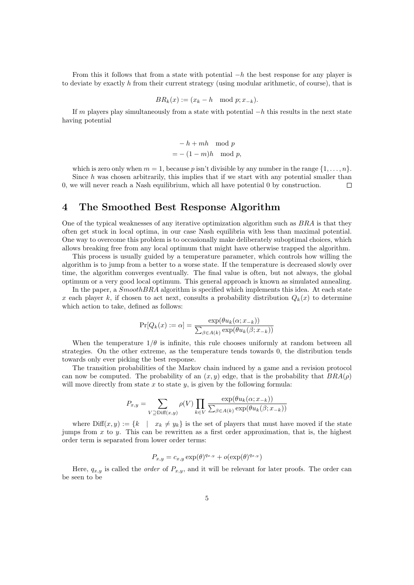From this it follows that from a state with potential  $-h$  the best response for any player is to deviate by exactly  $h$  from their current strategy (using modular arithmetic, of course), that is

$$
BR_k(x) := (x_k - h \mod p; x_{-k}).
$$

If m players play simultaneously from a state with potential  $-h$  this results in the next state having potential

$$
-h + mh \mod p
$$
  
=  $-(1 - m)h \mod p$ ,

which is zero only when  $m = 1$ , because p isn't divisible by any number in the range  $\{1, \ldots, n\}$ . Since  $h$  was chosen arbitrarily, this implies that if we start with any potential smaller than 0, we will never reach a Nash equilibrium, which all have potential 0 by construction.  $\Box$ 

## 4 The Smoothed Best Response Algorithm

One of the typical weaknesses of any iterative optimization algorithm such as BRA is that they often get stuck in local optima, in our case Nash equilibria with less than maximal potential. One way to overcome this problem is to occasionally make deliberately suboptimal choices, which allows breaking free from any local optimum that might have otherwise trapped the algorithm.

This process is usually guided by a temperature parameter, which controls how willing the algorithm is to jump from a better to a worse state. If the temperature is decreased slowly over time, the algorithm converges eventually. The final value is often, but not always, the global optimum or a very good local optimum. This general approach is known as simulated annealing.

In the paper, a  $SmoothBRA$  algorithm is specified which implements this idea. At each state x each player k, if chosen to act next, consults a probability distribution  $Q_k(x)$  to determine which action to take, defined as follows:

$$
\Pr[Q_k(x) := \alpha] = \frac{\exp(\theta u_k(\alpha; x_{-k}))}{\sum_{\beta \in A(k)} \exp(\theta u_k(\beta; x_{-k}))}
$$

When the temperature  $1/\theta$  is infinite, this rule chooses uniformly at random between all strategies. On the other extreme, as the temperature tends towards 0, the distribution tends towards only ever picking the best response.

The transition probabilities of the Markov chain induced by a game and a revision protocol can now be computed. The probability of an  $(x, y)$  edge, that is the probability that  $BRA(\rho)$ will move directly from state  $x$  to state  $y$ , is given by the following formula:

$$
P_{x,y} = \sum_{V \supseteq \text{Diff}(x,y)} \rho(V) \prod_{k \in V} \frac{\exp(\theta u_k(x; x_{-k}))}{\sum_{\beta \in A(k)} \exp(\theta u_k(\beta; x_{-k}))}
$$

where  $\text{Diff}(x, y) := \{k \mid x_k \neq y_k\}$  is the set of players that must have moved if the state jumps from  $x$  to  $y$ . This can be rewritten as a first order approximation, that is, the highest order term is separated from lower order terms:

$$
P_{x,y} = c_{x,y} \exp(\theta)^{q_{x,y}} + o(\exp(\theta)^{q_{x,y}})
$$

Here,  $q_{x,y}$  is called the *order* of  $P_{x,y}$ , and it will be relevant for later proofs. The order can be seen to be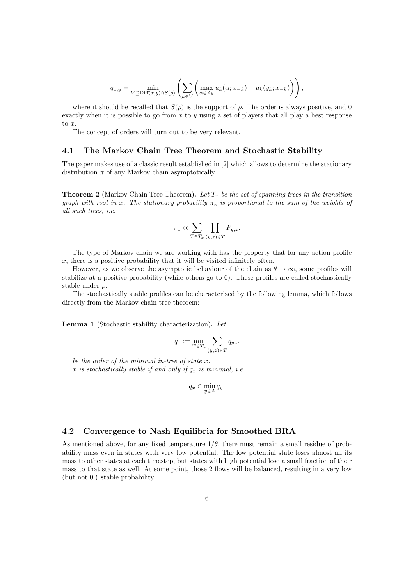$$
q_{x,y} = \min_{V \supseteq \text{Diff}(x,y) \cap S(\rho)} \left( \sum_{k \in V} \left( \max_{\alpha \in A_k} u_k(\alpha; x_{-k}) - u_k(y_k; x_{-k}) \right) \right),
$$

where it should be recalled that  $S(\rho)$  is the support of  $\rho$ . The order is always positive, and 0 exactly when it is possible to go from  $x$  to  $y$  using a set of players that all play a best response to  $x$ .

The concept of orders will turn out to be very relevant.

## 4.1 The Markov Chain Tree Theorem and Stochastic Stability

The paper makes use of a classic result established in [2] which allows to determine the stationary distribution  $\pi$  of any Markov chain asymptotically.

**Theorem 2** (Markov Chain Tree Theorem). Let  $T_x$  be the set of spanning trees in the transition graph with root in x. The stationary probability  $\pi_x$  is proportional to the sum of the weights of all such trees, i.e.

$$
\pi_x \propto \sum_{T \in T_x} \prod_{(y,z) \in T} P_{y,z}.
$$

The type of Markov chain we are working with has the property that for any action profile  $x$ , there is a positive probability that it will be visited infinitely often.

However, as we observe the asymptotic behaviour of the chain as  $\theta \to \infty$ , some profiles will stabilize at a positive probability (while others go to 0). These profiles are called stochastically stable under  $\rho$ .

The stochastically stable profiles can be characterized by the following lemma, which follows directly from the Markov chain tree theorem:

Lemma 1 (Stochastic stability characterization). Let

$$
q_x := \min_{T \in T_x} \sum_{(y,z) \in T} q_{yz}.
$$

be the order of the minimal in-tree of state x. x is stochastically stable if and only if  $q_x$  is minimal, i.e.

$$
q_x \in \min_{y \in A} q_y.
$$

## 4.2 Convergence to Nash Equilibria for Smoothed BRA

As mentioned above, for any fixed temperature  $1/\theta$ , there must remain a small residue of probability mass even in states with very low potential. The low potential state loses almost all its mass to other states at each timestep, but states with high potential lose a small fraction of their mass to that state as well. At some point, those 2 flows will be balanced, resulting in a very low (but not 0!) stable probability.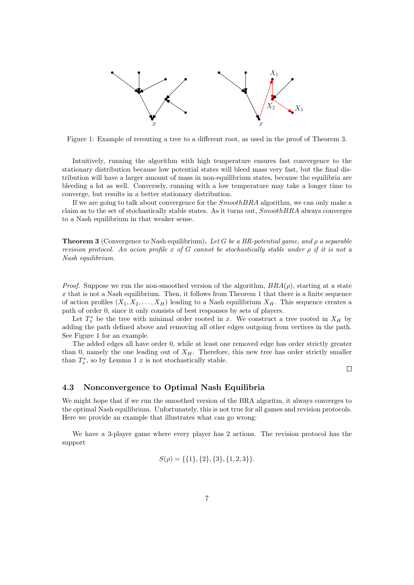

Figure 1: Example of rerouting a tree to a different root, as used in the proof of Theorem 3.

Intuitively, running the algorithm with high temperature ensures fast convergence to the stationary distribution because low potential states will bleed mass very fast, but the final distribution will have a larger amount of mass in non-equilibrium states, because the equilibria are bleeding a lot as well. Conversely, running with a low temperature may take a longer time to converge, but results in a better stationary distribution.

If we are going to talk about convergence for the SmoothBRA algorithm, we can only make a claim as to the set of stochastically stable states. As it turns out, SmoothBRA always converges to a Nash equilibrium in that weaker sense.

**Theorem 3** (Convergence to Nash equilibrium). Let G be a BR-potential game, and  $\rho$  a separable revision protocol. An acion profile x of G cannot be stochastically stable under  $\rho$  if it is not a Nash equilibrium.

*Proof.* Suppose we run the non-smoothed version of the algorithm,  $BRA(\rho)$ , starting at a state  $x$  that is not a Nash equilibrium. Then, it follows from Theorem 1 that there is a finite sequence of action profiles  $(X_1, X_2, \ldots, X_H)$  leading to a Nash equilibrium  $X_H$ . This sequence creates a path of order 0, since it only consists of best responses by sets of players.

Let  $T_x^*$  be the tree with minimal order rooted in x. We construct a tree rooted in  $X_H$  by adding the path defined above and removing all other edges outgoing from vertices in the path. See Figure 1 for an example.

The added edges all have order 0, while at least one removed edge has order strictly greater than 0, namely the one leading out of  $X_H$ . Therefore, this new tree has order strictly smaller than  $T_x^*$ , so by Lemma 1 x is not stochastically stable.

 $\Box$ 

#### 4.3 Nonconvergence to Optimal Nash Equilibria

We might hope that if we run the smoothed version of the BRA algoritm, it always converges to the optimal Nash equilibrium. Unfortunately, this is not true for all games and revision protocols. Here we provide an example that illustrates what can go wrong:

We have a 3-player game where every player has 2 actions. The revision protocol has the support

$$
S(\rho) = \{\{1\}, \{2\}, \{3\}, \{1, 2, 3\}\}.
$$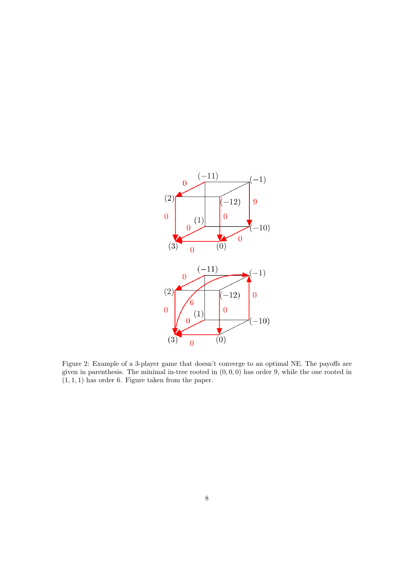

Figure 2: Example of a 3-player game that doesn't converge to an optimal NE. The payoffs are given in parenthesis. The minimal in-tree rooted in  $(0, 0, 0)$  has order 9, while the one rooted in  $(1, 1, 1)$  has order 6. Figure taken from the paper.